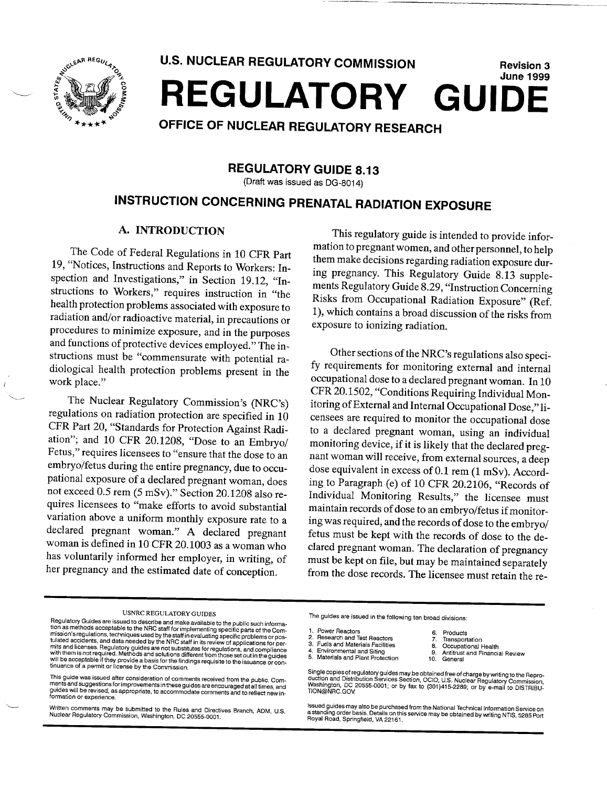

**U.S. NUCLEAR** REGULATORY **COMMISSION**  REGULATORY **GUIDE** Revision **3**  June **1999** 

# **OFFICE** OF **NUCLEAR** REGULATORY RESEARCH

# REGULATORY **GUIDE 8.13**

(Draft was issued as DG-801 4)

# **INSTRUCTION CONCERNING** PRENATAL RADIATION **EXPOSURE**

#### A. **INTRODUCTION**

The Code of Federal Regulations in 10 CFR Part 19, "Notices, Instructions and Reports to Workers: In spection and Investigations," in Section 19.12, "Instructions to Workers," requires instruction in "the health protection problems associated with exposure to radiation and/or radioactive material, in precautions or procedures to minimize exposure, and in the purposes and functions of protective devices employed." The in structions must be "commensurate with potential ra diological health protection problems present in the work place."

The Nuclear Regulatory Commission's (NRC's) regulations on radiation protection are specified in 10 CFR Part 20, "Standards for Protection Against Radi ation"; and 10 CFR 20.1208, "Dose to an Embryo/ Fetus," requires licensees to "ensure that the dose to an embryo/fetus during the entire pregnancy, due to occu pational exposure of a declared pregnant woman, does not exceed 0.5 rem (5 mSv)." Section 20.1208 also re quires licensees to "make efforts to avoid substantial variation above a uniform monthly exposure rate to a declared pregnant woman." A declared pregnant woman is defined in 10 CFR 20.1003 as a woman who has voluntarily informed her employer, in writing, of her pregnancy and the estimated date of conception.

This regulatory guide is intended to provide infor mation to pregnant women, and other personnel, to help them make decisions regarding radiation exposure dur ing pregnancy. This Regulatory Guide 8.13 supple ments Regulatory Guide 8.29, "Instruction Conceming Risks from Occupational Radiation Exposure" (Ref. 1), which contains a broad discussion of the risks from exposure to ionizing radiation.

Other sections of the NRC's regulations also speci-<br>fy requirements for monitoring external and internal occupational dose to a declared pregnant woman. In 10 CFR 20.1502, "Conditions Requiring Individual Mon itoring of External and Internal Occupational Dose," li censees are required to monitor the occupational dose to a declared pregnant woman, using an individual monitoring device, if it is likely that the declared pregnant woman will receive, from external sources, a deep dose equivalent in excess of 0.1 rem (1 mSv). According to Paragraph (e) of 10 CFR 20.2106, "Records of Individual Monitoring Results," the licensee must maintain records of dose to an embryo/fetus if monitor ing was required, and the records of dose to the embryo/ fetus must be kept with the records of dose to the de clared pregnant woman. The declaration of pregnancy must be kept on file, but may be maintained separately from the dose records. The licensee must retain the re-

- -

Single copies of regulatory guides may be obtained free of charge by writing to the Repro-<br>duction and Distribution Services Section, OCIO, U.S. Nuclear Regulatory Commission,<br>Washington, DC 20555-0001, or by fax to (301)4

lssued guides may also be purchased from the National Technical Information Service on<br>a standing order basis. Details on this service may be obtained by writing NTIS, 5285 Port<br>Royal Road, Springfield, VA 22161.

USNRC REGULATORY GUIDES<br>
The guides are issued in the following ten broad divisions:<br>
tion as methods acceptable to the NRC staff for implementing specific parts of the Com-<br>
mission's regulations, techniques used by the S

This guide was issued after consideration of comments received from the public. Com-<br>ments and suggestions for improvements in these guides are encouraged at all times, and<br>guides will be revised, as appropriate, to accomm

written comments may be submitted to the Rules<br>Nuclear Regulatory Commission, Washington, DC 0 washington, DC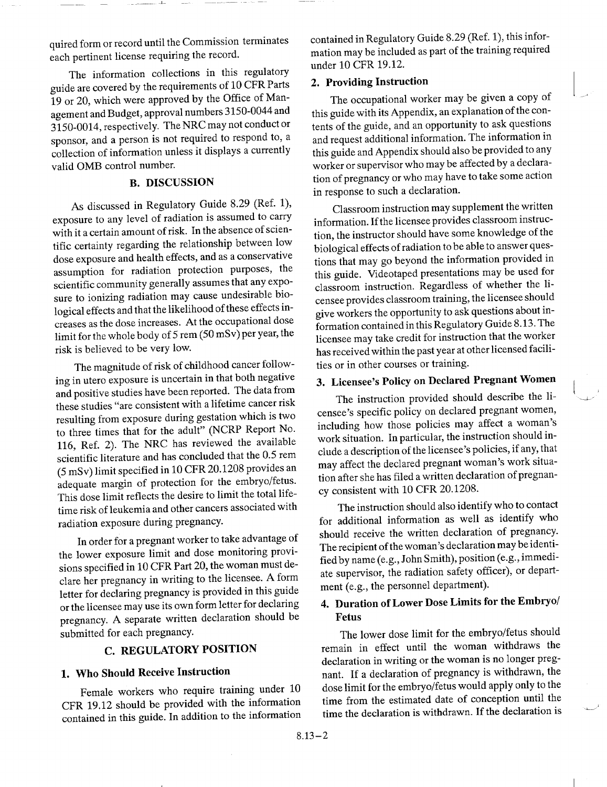quired form or record until the Commission terminates each pertinent license requiring the record.

The information collections in this regulatory guide are covered by the requirements of 10 CFR Parts 19 or 20, which were approved by the Office of Man agement and Budget, approval numbers 3150-0044 and 3150-0014, respectively. The NRC may not conduct or sponsor, and a person is not required to respond to, a collection of information unless it displays a currently valid OMB control number.

#### B. **DISCUSSION**

As discussed in Regulatory Guide 8.29 (Ref. 1), exposure to any level of radiation is assumed to carry with it a certain amount of risk. In the absence of scien tific certainty regarding the relationship between low dose exposure and health effects, and as a conservative assumption for radiation protection purposes, the scientific community generally assumes that any expo sure to ionizing radiation may cause undesirable bio logical effects and that the likelihood of these effects in creases as the dose increases. At the occupational dose limit for the whole body of 5 rem (50 mSv) per year, the risk is believed to be very low.

The magnitude of risk of childhood cancer follow ing in utero exposure is uncertain in that both negative and positive studies have been reported. The data from these studies "are consistent with a lifetime cancer risk resulting from exposure during gestation which is two to three times that for the adult" (NCRP Report No. 116, Ref. 2). The NRC has reviewed the available scientific literature and has concluded that the 0.5 rem (5 mSv) limit specified in 10 CFR 20.1208 provides an adequate margin of protection for the embryo/fetus. This dose limit reflects the desire to limit the total life time risk of leukemia and other cancers associated with radiation exposure during pregnancy.

In order for a pregnant worker to take advantage of the lower exposure limit and dose monitoring provi sions specified in 10 CFR Part 20, the woman must de clare her pregnancy in writing to the licensee. A form letter for declaring pregnancy is provided in this guide or the licensee may use its own form letter for declaring pregnancy. A separate written declaration should be submitted for each pregnancy.

# C. REGULATORY POSITION

# 1. Who Should Receive Instruction

Female workers who require training under 10 CFR 19.12 should be provided with the information contained in this guide. In addition to the information contained in Regulatory Guide 8.29 (Ref. 1), this infor mation may be included as part of the training required under 10 CFR 19.12.

#### 2. Providing Instruction

The occupational worker may be given a copy of this guide with its Appendix, an explanation of the con tents of the guide, and an opportunity to ask questions and request additional information. The information in this guide and Appendix should also be provided to any worker or supervisor who may be affected by a declara tion of pregnancy or who may have to take some action in response to such a declaration.

Classroom instruction may supplement the written information. If the licensee provides classroom instruc tion, the instructor should have some knowledge of the biological effects of radiation to be able to answer ques tions that may go beyond the information provided in this guide. Videotaped presentations may be used for classroom instruction. Regardless of whether the li censee provides classroom training, the licensee should give workers the opportunity to ask questions about in formation contained in this Regulatory Guide 8.13. The licensee may take credit for instruction that the worker has received within the past year at other licensed facili ties or in other courses or training.

# 3. Licensee's Policy on Declared Pregnant Women

 $\left(\begin{array}{c} 1 \end{array}\right)$ 

The instruction provided should describe the li censee's specific policy on declared pregnant women, including how those policies may affect a woman's work situation. In particular, the instruction should in clude a description of the licensee's policies, if any, that may affect the declared pregnant woman's work situa tion after she has filed a written declaration of pregnan cy consistent with 10 CFR 20.1208.

The instruction should also identify who to contact for additional information as well as identify who should receive the written declaration of pregnancy. The recipient of the woman's declaration may be identi fied by name (e.g., John Smith), position (e.g., immedi ate supervisor, the radiation safety officer), or depart ment (e.g., the personnel department).

# 4. Duration of Lower Dose Limits for the Embryo/ Fetus

The lower dose limit for the embryo/fetus should remain in effect until the woman withdraws the declaration in writing or the woman is no longer preg nant. If a declaration of pregnancy is withdrawn, the dose limit for the embryo/fetus would apply only to the time from the estimated date of conception until the time the declaration is withdrawn. If the declaration is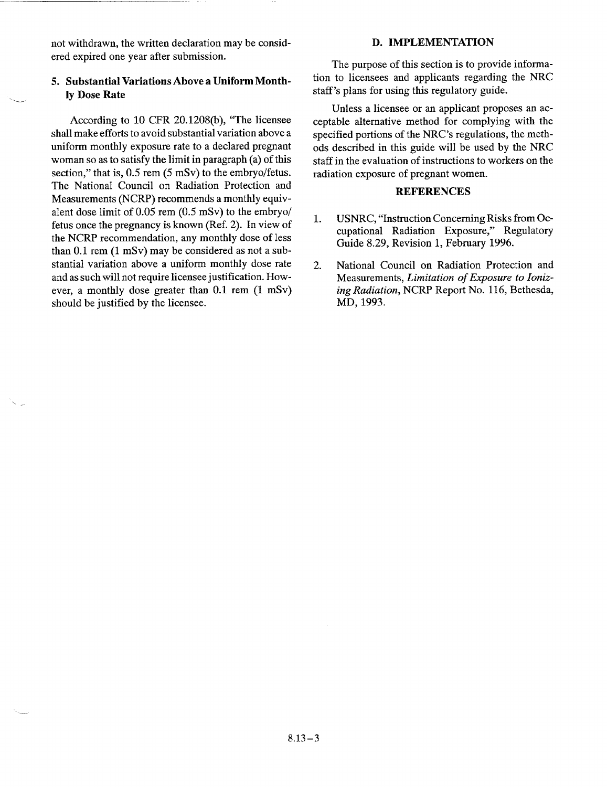not withdrawn, the written declaration may be consid ered expired one year after submission.

### 5. Substantial Variations Above a Uniform Month **ly** Dose Rate

According to 10 CFR 20.1208(b), "The licensee shall make efforts to avoid substantial variation above a uniform monthly exposure rate to a declared pregnant woman so as to satisfy the limit in paragraph (a) of this section," that is, 0.5 rem (5 mSv) to the embryo/fetus. The National Council on Radiation Protection and Measurements (NCRP) recommends a monthly equiv alent dose limit of 0.05 rem (0.5 mSv) to the embryo/ fetus once the pregnancy is known (Ref. 2). In view of the NCRP recommendation, any monthly dose of less than 0.1 rem (1 mSv) may be considered as not a sub stantial variation above a uniform monthly dose rate and as such will not require licensee justification. How ever, a monthly dose greater than 0.1 rem (1 mSv) should be justified by the licensee.

#### **D. IMPLEMENTATION**

The purpose of this section is to provide informa tion to licensees and applicants regarding the NRC staff's plans for using this regulatory guide.

Unless a licensee or an applicant proposes an ac ceptable alternative method for complying with the specified portions of the NRC's regulations, the meth ods described in this guide will be used by the NRC staff in the evaluation of instructions to workers on the radiation exposure of pregnant women.

#### **REFERENCES**

- 1. USNRC, "Instruction Concerning Risks from Oc cupational Radiation Exposure," Regulatory Guide 8.29, Revision 1, February 1996.
- 2. National Council on Radiation Protection and Measurements, *Limitation of Exposure to Ioniz ing Radiation,* NCRP Report No. 116, Bethesda, MD, 1993.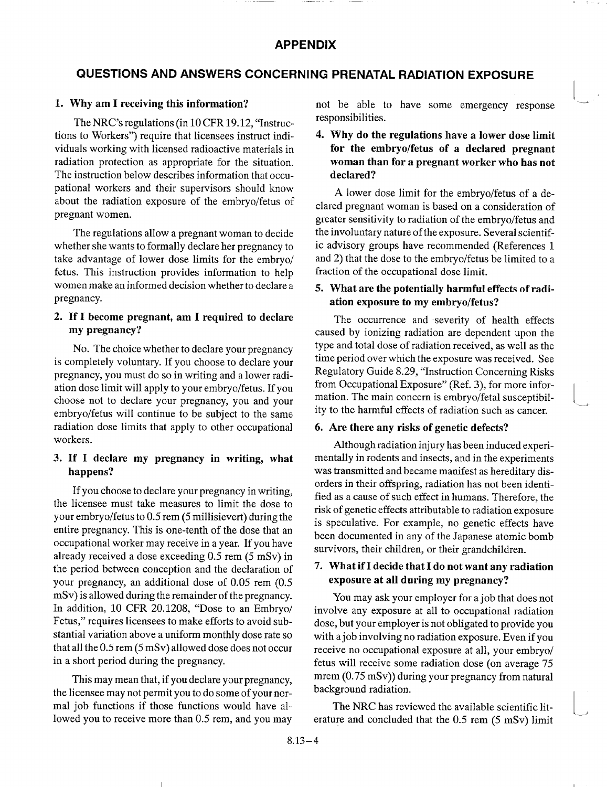# **QUESTIONS AND ANSWERS CONCERNING** PRENATAL RADIATION **EXPOSURE**

#### **1. Why** am **I** receiving this information?

The NRC's regulations (in 10 CFR 19.12, "Instruc tions to Workers") require that licensees instruct indi viduals working with licensed radioactive materials in radiation protection as appropriate for the situation. The instruction below describes information that occu pational workers and their supervisors should know about the radiation exposure of the embryo/fetus of pregnant women.

The regulations allow a pregnant woman to decide whether she wants to formally declare her pregnancy to take advantage of lower dose limits for the embryo/ fetus. This instruction provides information to help women make an informed decision whether to declare a pregnancy.

#### 2. **If** I become pregnant, am I required to declare my pregnancy?

No. The choice whether to declare your pregnancy is completely voluntary. If you choose to declare your pregnancy, you must do so in writing and a lower radi ation dose limit will apply to your embryo/fetus. If you choose not to declare your pregnancy, you and your embryo/fetus will continue to be subject to the same radiation dose limits that apply to other occupational workers.

## **3. If** I declare my pregnancy in writing, what happens?

If you choose to declare your pregnancy in writing, the licensee must take measures to limit the dose to your embryo/fetus to 0.5 rem (5 millisievert) during the entire pregnancy. This is one-tenth of the dose that an occupational worker may receive in a year. If you have already received a dose exceeding 0.5 rem (5 mSv) in the period between conception and the declaration of your pregnancy, an additional dose of 0.05 rem (0.5 mSv) is allowed during the remainder of the pregnancy. In addition, 10 CFR 20.1208, "Dose to an Embryo/ Fetus," requires licensees to make efforts to avoid substantial variation above a uniform monthly dose rate so that all the 0.5 rem (5 mSv) allowed dose does not occur in a short period during the pregnancy.

This may mean that, if you declare your pregnancy, the licensee may not permit you to do some of your nor mal job functions if those functions would have al lowed you to receive more than 0.5 rem, and you may not be able to have some emergency response responsibilities.

**I**

**I**

4. **Why** do the regulations have a lower dose limit for the embryo/fetus of a declared pregnant woman than for a pregnant worker who has not declared?

A lower dose limit for the embryo/fetus of a de clared pregnant woman is based on a consideration of greater sensitivity to radiation of the embryo/fetus and the involuntary nature of the exposure. Several scientif ic advisory groups have recommended (References 1 and 2) that the dose to the embryo/fetus be limited to a fraction of the occupational dose limit.

#### 5. What are the potentially harmful effects of radi ation exposure to my embryo/fetus?

The occurrence and severity of health effects caused by ionizing radiation are dependent upon the type and total dose of radiation received, as well as the time period over which the exposure was received. See Regulatory Guide 8.29, "Instruction Concerning Risks from Occupational Exposure" (Ref. 3), for more infor mation. The main concern is embryo/fetal susceptibil ity to the harmful effects of radiation such as cancer.

#### **6.** Are there any risks of genetic defects?

Although radiation injury has been induced experi mentally in rodents and insects, and in the experiments was transmitted and became manifest as hereditary dis orders in their offspring, radiation has not been identi fied as a cause of such effect in humans. Therefore, the risk of genetic effects attributable to radiation exposure is speculative. For example, no genetic effects have been documented in any of the Japanese atomic bomb survivors, their children, or their grandchildren.

## 7. What if I decide that I do not want any radiation exposure at all during my pregnancy?

You may ask your employer for a job that does not involve any exposure at all to occupational radiation dose, but your employer is not obligated to provide you with ajob involving no radiation exposure. Even if you receive no occupational exposure at all, your embryo/ fetus will receive some radiation dose (on average 75 mrem (0.75 mSv)) during your pregnancy from natural background radiation.

The NRC has reviewed the available scientific lit erature and concluded that the 0.5 rem (5 mSv) limit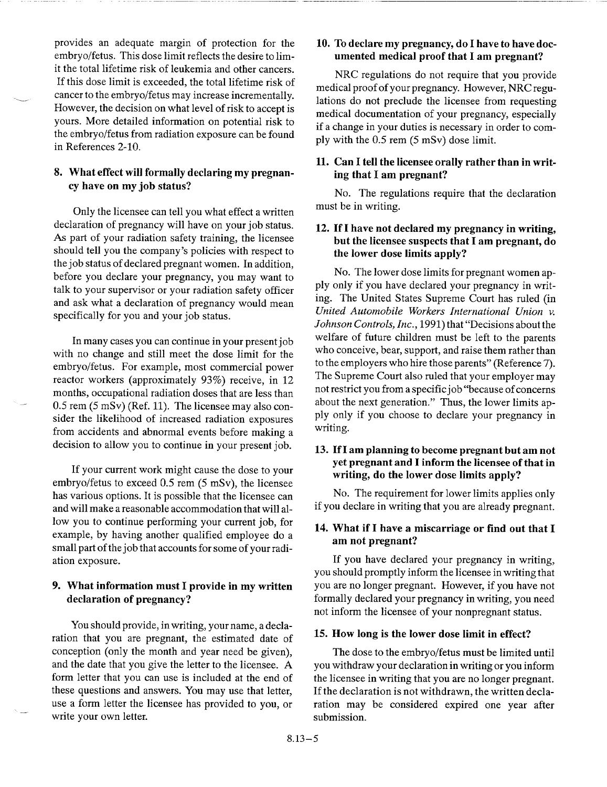provides an adequate margin of protection for the embryo/fetus. This dose limit reflects the desire to lim it the total lifetime risk of leukemia and other cancers. If this dose limit is exceeded, the total lifetime risk of cancer to the embryo/fetus may increase incrementally. However, the decision on what level of risk to accept is yours. More detailed information on potential risk to the embryo/fetus from radiation exposure can be found in References 2-10.

#### 8. What effect will formally declaring my pregnan cy have on my job status?

Only the licensee can tell you what effect a written declaration of pregnancy will have on your job status. As part of your radiation safety training, the licensee should tell you the company's policies with respect to the job status of declared pregnant women. In addition, before you declare your pregnancy, you may want to talk to your supervisor or your radiation safety officer and ask what a declaration of pregnancy would mean specifically for you and your job status.

In many cases you can continue in your present job with no change and still meet the dose limit for the embryo/fetus. For example, most commercial power reactor workers (approximately 93%) receive, in 12 months, occupational radiation doses that are less than 0.5 rem (5 mSv) (Ref. 11). The licensee may also con sider the likelihood of increased radiation exposures from accidents and abnormal events before making a decision to allow you to continue in your present job.

If your current work might cause the dose to your embryo/fetus to exceed 0.5 rem (5 mSv), the licensee has various options. It is possible that the licensee can and will make a reasonable accommodation that will al low you to continue performing your current job, for example, by having another qualified employee do a small part of the job that accounts for some of your radi ation exposure.

## **9.** What information must I provide in my written declaration of pregnancy?

You should provide, in writing, your name, a decla ration that you are pregnant, the estimated date of conception (only the month and year need be given), and the date that you give the letter to the licensee. A form letter that you can use is included at the end of these questions and answers. You may use that letter, use a form letter the licensee has provided to you, or write your own letter.

#### 10. To declare my pregnancy, do I have to have doc umented medical proof that I am pregnant?

NRC regulations do not require that you provide medical proof of your pregnancy. However, NRC regu lations do not preclude the licensee from requesting medical documentation of your pregnancy, especially if a change in your duties is necessary in order to com ply with the 0.5 rem (5 mSv) dose limit.

### **11.** Can **I** tell the licensee orally rather than in writ ing that **I** am pregnant?

No. The regulations require that the declaration must be in writing.

#### 12. **If I** have not declared my pregnancy in writing, but the licensee suspects that **I** am pregnant, do the lower dose limits apply?

No. The lower dose limits for pregnant women ap ply only if you have declared your pregnancy in writ ing. The United States Supreme Court has ruled (in *United Automobile Workers International Union v. Johnson Controls, Inc.,* 1991) that "Decisions about the welfare of future children must be left to the parents who conceive, bear, support, and raise them rather than to the employers who hire those parents" (Reference 7). The Supreme Court also ruled that your employer may not restrict you from a specific job "because of concerns about the next generation." Thus, the lower limits ap ply only if you choose to declare your pregnancy in writing.

#### **13. If I** am planning to become pregnant but am not yet pregnant and **I** inform the licensee of that in writing, do the lower dose limits apply?

No. The requirement for lower limits applies only if you declare in writing that you are already pregnant.

## 14. What if **I** have a miscarriage or find out that **I**  am not pregnant?

**If** you have declared your pregnancy in writing, you should promptly inform the licensee in writing that you are no longer pregnant. However, if you have not formally declared your pregnancy in writing, you need not inform the licensee of your nonpregnant status.

#### 15. How long is the lower dose limit in effect?

The dose to the embryo/fetus must be limited until you withdraw your declaration in writing or you inform the licensee in writing that you are no longer pregnant. If the declaration is not withdrawn, the written decla ration may be considered expired one year after submission.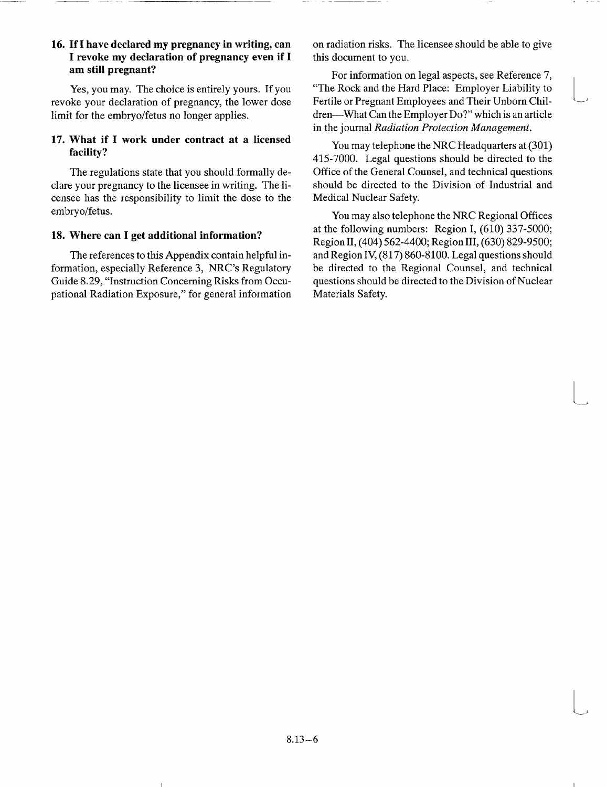#### **16. If I** have declared my pregnancy in writing, can **I** revoke my declaration of pregnancy even if **I**  am still pregnant?

Yes, you may. The choice is entirely yours. If you revoke your declaration of pregnancy, the lower dose limit for the embryo/fetus no longer applies.

#### 17. What if I work under contract at a licensed facility?

The regulations state that you should formally de clare your pregnancy to the licensee in writing. The li censee has the responsibility to limit the dose to the embryo/fetus.

#### **18.** Where can I get additional information?

The references to this Appendix contain helpful in formation, especially Reference 3, NRC's Regulatory Guide 8.29, "Instruction Concerning Risks from Occu pational Radiation Exposure," for general information

on radiation risks. The licensee should be able to give this document to you.

For information on legal aspects, see Reference 7, "The Rock and the Hard Place: Employer Liability to Fertile or Pregnant Employees and Their Unborn Chil dren-What Can the Employer Do?" which is an article in the journal *Radiation Protection Management.* 

You may telephone the NRC Headquarters at (301) 415-7000. Legal questions should be directed to the Office of the General Counsel, and technical questions should be directed to the Division of Industrial and Medical Nuclear Safety.

You may also telephone the NRC Regional Offices at the following numbers: Region I, (610) 337-5000; Region II, (404) 562-4400; Region III, (630) 829-9500; and Region IV, (817) 860-8100. Legal questions should be directed to the Regional Counsel, and technical questions should be directed to the Division of Nuclear Materials Safety.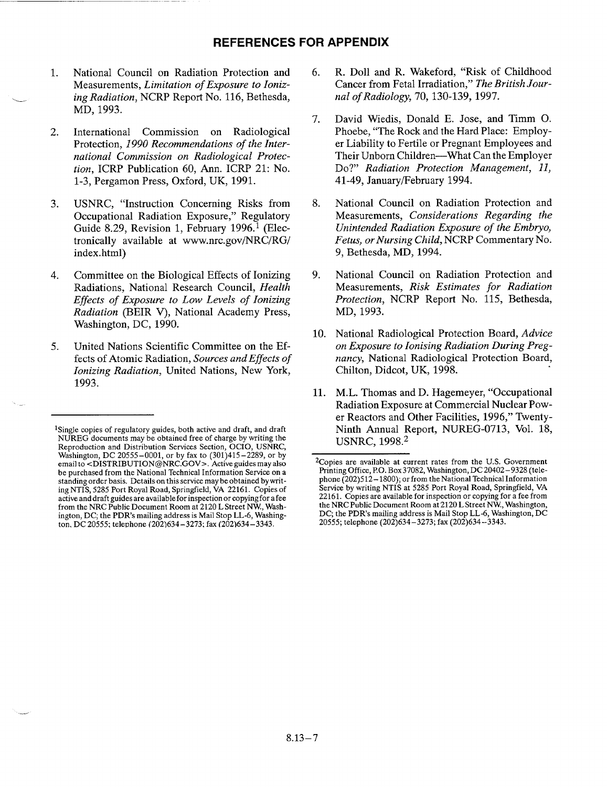#### **REFERENCES** FOR **APPENDIX**

- **1.** National Council on Radiation Protection and Measurements, *Limitation of Exposure to Ioniz ing Radiation,* NCRP Report No. 116, Bethesda, MD, 1993.
- 2. International Commission on Radiological Protection, *1990 Recommendations of the Inter national Commission on Radiological Protec tion,* ICRP Publication 60, Ann. ICRP 21: No. 1-3, Pergamon Press, Oxford, UK, 1991.
- 3. USNRC, "Instruction Concerning Risks from Occupational Radiation Exposure," Regulatory Guide 8.29, Revision 1, February 1996.<sup>1</sup> (Electronically available at www.nrc.gov/NRC/RG/ index.html)
- 4. Committee on the Biological Effects of Ionizing Radiations, National Research Council, *Health Effects of Exposure to Low Levels of Ionizing Radiation* (BEIR V), National Academy Press, Washington, DC, 1990.
- 5. United Nations Scientific Committee on the Ef fects of Atomic Radiation, *Sources and Effects of Ionizing Radiation,* United Nations, New York, 1993.
- 6. R. Doll and R. Wakeford, "Risk of Childhood Cancer from Fetal Irradiation," *The British Jour nal of Radiology,* 70, 130-139, 1997.
- 7. David Wiedis, Donald E. Jose, and Timm **0.**  Phoebe, "The Rock and the Hard Place: Employ er Liability to Fertile or Pregnant Employees and Their Unborn Children—What Can the Employer Do?" *Radiation Protection Management, 11,*  41-49, January/February 1994.
- 8. National Council on Radiation Protection and Measurements, *Considerations Regarding the Unintended Radiation Exposure of the Embryo, Fetus, orNursing Child,* NCRP Commentary No. 9, Bethesda, MD, 1994.
- 9. National Council on Radiation Protection and Measurements, *Risk Estimates for Radiation Protection,* NCRP Report No. 115, Bethesda, MD, 1993.
- 10. National Radiological Protection Board, *Advice on Exposure to lonising Radiation During Preg nancy,* National Radiological Protection Board, Chilton, Didcot, UK, 1998.
- 11. M.L. Thomas and D. Hagemeyer, "Occupational Radiation Exposure at Commercial Nuclear Pow er Reactors and Other Facilities, 1996," Twenty Ninth Annual Report, NUREG-0713, Vol. 18, USNRC, 1998.2

<sup>&</sup>lt;sup>1</sup>Single copies of regulatory guides, both active and draft, and draft NUREG documents may be obtained free of charge by writing the Reproduction and Distribution Services Section, OCIO, USNRC, Washington, DC 20555-0001, or by fax to  $(301)415-2289$ , or by email to <DISTRIBUTION@NRC.GOV>. Active guides may also be purchased from the National Technical Information Service on a standing order basis. Details on this service may be obtained by writ ing NTIS, 5285 Port Royal Road, Springfield, VA 22161. Copies of active and draft guides are available for inspection or copyingfor a fee from the NRC Public Document Room at 2120 L Street NW, Wash ington, DC; the PDR's mailing address is Mail Stop LL-6, Washing ton, DC 20555; telephone (202)634-3273: fax (202)634-3343.

<sup>&</sup>lt;sup>2</sup>Copies are available at current rates from the U.S. Government Printing Office, P.O. Box 37082, Washington, DC 20402- 9328 (tele phone (202)512-1800); or from the National Technical Information Service by writing NTIS at 5285 Port Royal Road, Springfield, VA 22161. Copies are available for inspection or copying for a fee from the NRC Public Document Room at 2120 LStreet NW, Washington, DC; the PDR's mailing address is Mail Stop LL-6, Washington, DC 20555; telephone (202)634-3273; fax (202)634-3343.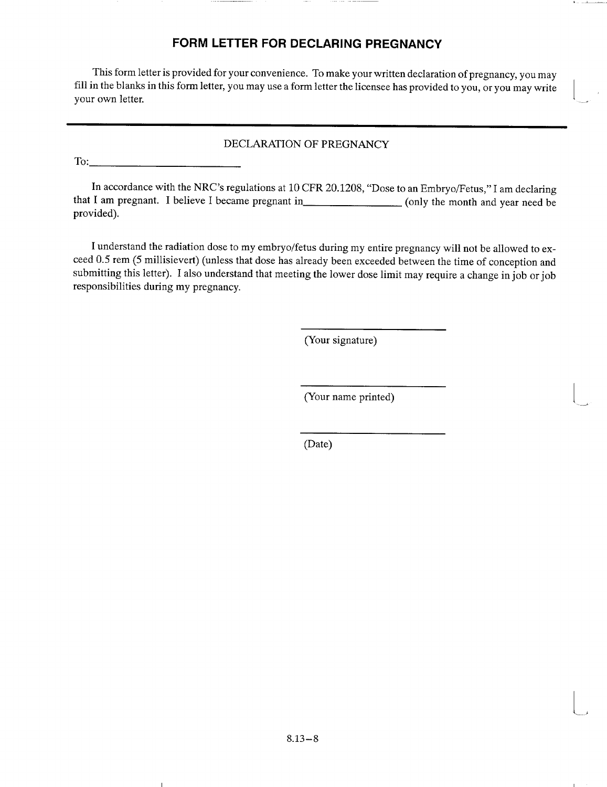# FORM LETTER FOR **DECLARING PREGNANCY**

This form letter is provided for your convenience. To make your written declaration of pregnancy, you may fill in the blanks in this form letter, you may use a form letter the licensee has provided to you, or you may write your own letter.

### DECLARATION OF PREGNANCY

To:

In accordance with the NRC's regulations at 10 CFR 20.1208, "Dose to an Embryo/Fetus," I am declaring that I am pregnant. I believe I became pregnant in (only the month and year need be provided).

I understand the radiation dose to my embryo/fetus during my entire pregnancy will not be allowed to ex ceed 0.5 rem (5 millisievert) (unless that dose has already been exceeded between the time of conception and submitting this letter). I also understand that meeting the lower dose limit may require a change in job or job responsibilities during my pregnancy.

(Your signature)

(Your name printed)

**I**

(Date)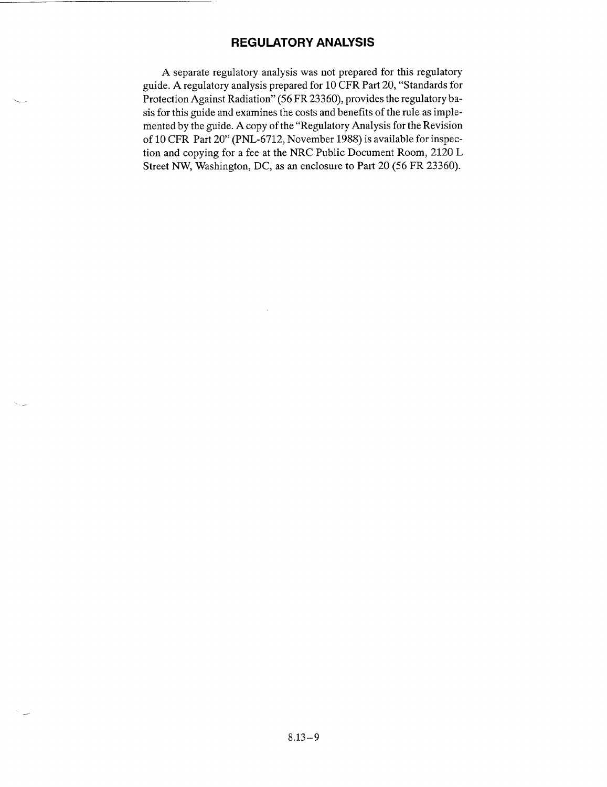## REGULATORY **ANALYSIS**

A separate regulatory analysis was not prepared for this regulatory guide. A regulatory analysis prepared for 10 CFR Part 20, "Standards for Protection Against Radiation" (56 FR 23360), provides the regulatory ba sis for this guide and examines the costs and benefits of the rule as imple mented by the guide. A copy of the "Regulatory Analysis for the Revision of 10 CFR Part 20" (PNL-6712, November 1988) is available for inspec tion and copying for a fee at the NRC Public Document Room, 2120 L Street NW, Washington, DC, as an enclosure to Part 20 (56 FR 23360).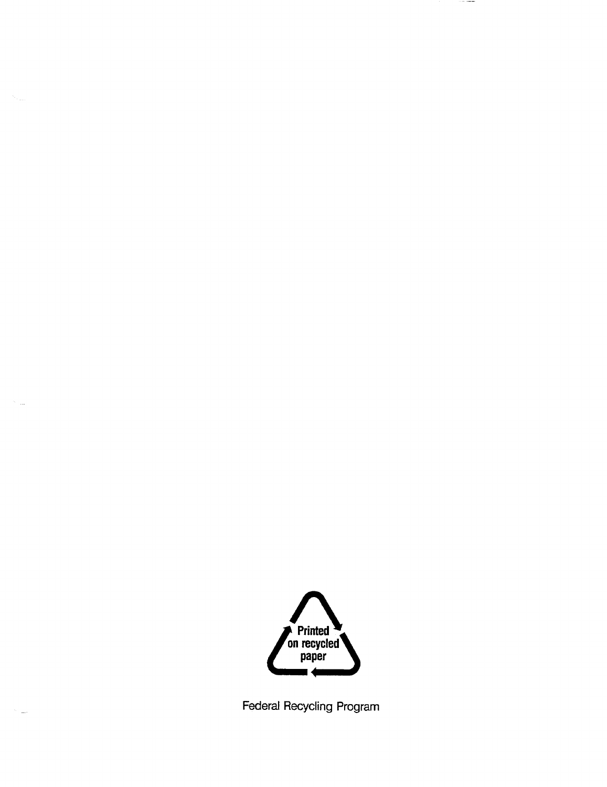

 $\sim$   $\sim$ 

 $\cdots$ 

Federal Recycling Program